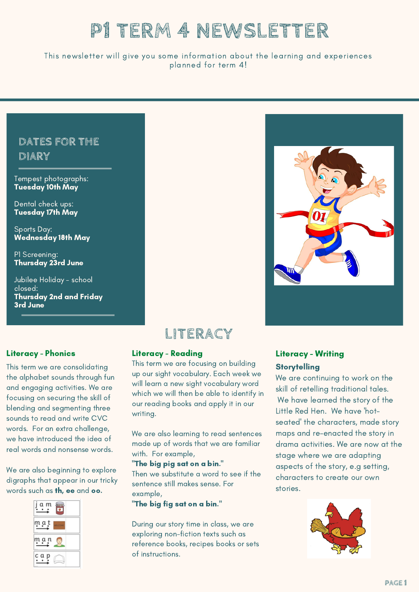# **P1 TERM 4 NEWSLETTER**

#### This newsletter will give you some information about the learning and experiences planned for term 4!

### **DATES FOR THE DIARY**

Tempest photographs: Tuesday 10th May

Dental check ups: Tuesday 17th May

Sports Day: Wednesday 18th May

P1 Screening: Thursday 23rd June

Jubilee Holiday - school closed: Thursday 2nd and Friday 3rd June





#### Literacy - Phonics

This term we are consolidating the alphabet sounds through fun and engaging activities. We are focusing on securing the skill of blending and segmenting three sounds to read and write CVC words. For an extra challenge, we have introduced the idea of real words and nonsense words.

We are also beginning to explore digraphs that appear in our tricky words such as th, ee and oo.



#### Literacy - Reading

This term we are focusing on building up our sight vocabulary. Each week we will learn a new sight vocabulary word which we will then be able to identify in our reading books and apply it in our writing.

We are also learning to read sentences made up of words that we are familiar with. For example,

"The big pig sat on a bin."

Then we substitute a word to see if the sentence still makes sense. For example,

"The big fig sat on a bin."

During our story time in class, we are exploring non-fiction texts such as reference books, recipes books or sets of instructions.



### Literacy - Writing **Storytelling**

We are continuing to work on the skill of retelling traditional tales. We have learned the story of the Little Red Hen. We have 'hotseated' the characters, made story maps and re-enacted the story in drama activities. We are now at the stage where we are adapting aspects of the story, e.g setting, characters to create our own stories.